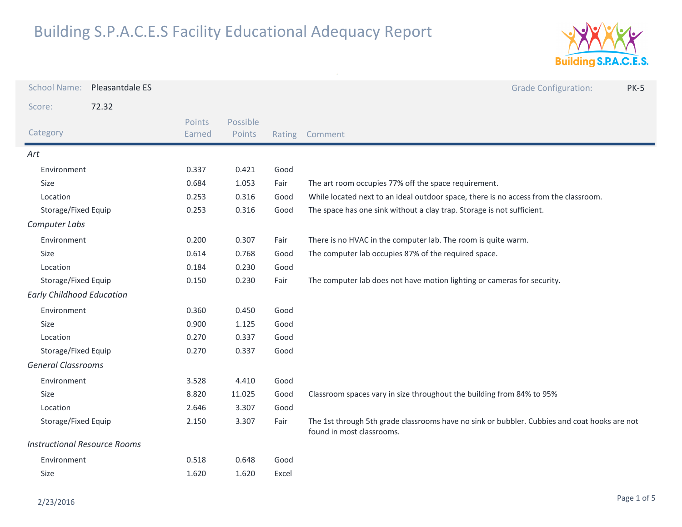

| <b>School Name:</b>                 | Pleasantdale ES |                  |                    |        | <b>Grade Configuration:</b><br><b>PK-5</b>                                                                                |
|-------------------------------------|-----------------|------------------|--------------------|--------|---------------------------------------------------------------------------------------------------------------------------|
| Score:                              | 72.32           |                  |                    |        |                                                                                                                           |
| Category                            |                 | Points<br>Earned | Possible<br>Points | Rating | Comment                                                                                                                   |
| Art                                 |                 |                  |                    |        |                                                                                                                           |
| Environment                         |                 | 0.337            | 0.421              | Good   |                                                                                                                           |
| <b>Size</b>                         |                 | 0.684            | 1.053              | Fair   | The art room occupies 77% off the space requirement.                                                                      |
| Location                            |                 | 0.253            | 0.316              | Good   | While located next to an ideal outdoor space, there is no access from the classroom.                                      |
| Storage/Fixed Equip                 |                 | 0.253            | 0.316              | Good   | The space has one sink without a clay trap. Storage is not sufficient.                                                    |
| Computer Labs                       |                 |                  |                    |        |                                                                                                                           |
| Environment                         |                 | 0.200            | 0.307              | Fair   | There is no HVAC in the computer lab. The room is quite warm.                                                             |
| Size                                |                 | 0.614            | 0.768              | Good   | The computer lab occupies 87% of the required space.                                                                      |
| Location                            |                 | 0.184            | 0.230              | Good   |                                                                                                                           |
| Storage/Fixed Equip                 |                 | 0.150            | 0.230              | Fair   | The computer lab does not have motion lighting or cameras for security.                                                   |
| <b>Early Childhood Education</b>    |                 |                  |                    |        |                                                                                                                           |
| Environment                         |                 | 0.360            | 0.450              | Good   |                                                                                                                           |
| Size                                |                 | 0.900            | 1.125              | Good   |                                                                                                                           |
| Location                            |                 | 0.270            | 0.337              | Good   |                                                                                                                           |
| Storage/Fixed Equip                 |                 | 0.270            | 0.337              | Good   |                                                                                                                           |
| <b>General Classrooms</b>           |                 |                  |                    |        |                                                                                                                           |
| Environment                         |                 | 3.528            | 4.410              | Good   |                                                                                                                           |
| Size                                |                 | 8.820            | 11.025             | Good   | Classroom spaces vary in size throughout the building from 84% to 95%                                                     |
| Location                            |                 | 2.646            | 3.307              | Good   |                                                                                                                           |
| Storage/Fixed Equip                 |                 | 2.150            | 3.307              | Fair   | The 1st through 5th grade classrooms have no sink or bubbler. Cubbies and coat hooks are not<br>found in most classrooms. |
| <b>Instructional Resource Rooms</b> |                 |                  |                    |        |                                                                                                                           |
| Environment                         |                 | 0.518            | 0.648              | Good   |                                                                                                                           |
| Size                                |                 | 1.620            | 1.620              | Excel  |                                                                                                                           |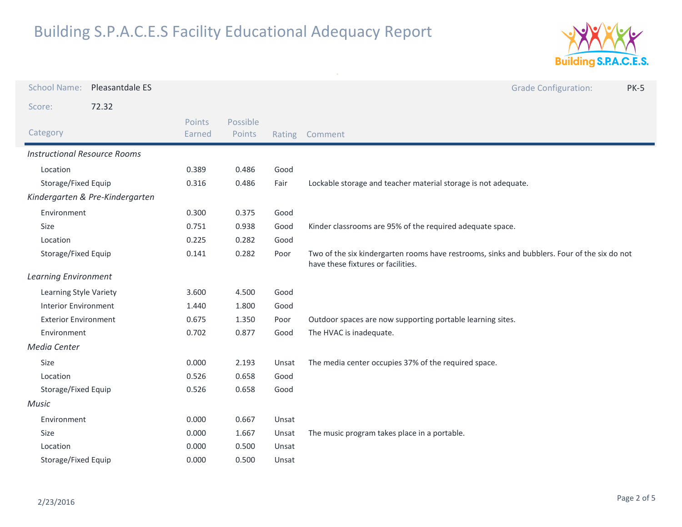

| <b>School Name:</b>                 | Pleasantdale ES                 |        |          |       | <b>Grade Configuration:</b><br><b>PK-5</b>                                                                                         |  |
|-------------------------------------|---------------------------------|--------|----------|-------|------------------------------------------------------------------------------------------------------------------------------------|--|
| Score:                              | 72.32                           |        |          |       |                                                                                                                                    |  |
|                                     |                                 | Points | Possible |       |                                                                                                                                    |  |
| Category                            |                                 | Earned | Points   |       | Rating Comment                                                                                                                     |  |
| <b>Instructional Resource Rooms</b> |                                 |        |          |       |                                                                                                                                    |  |
| Location                            |                                 | 0.389  | 0.486    | Good  |                                                                                                                                    |  |
| Storage/Fixed Equip                 |                                 | 0.316  | 0.486    | Fair  | Lockable storage and teacher material storage is not adequate.                                                                     |  |
|                                     | Kindergarten & Pre-Kindergarten |        |          |       |                                                                                                                                    |  |
| Environment                         |                                 | 0.300  | 0.375    | Good  |                                                                                                                                    |  |
| Size                                |                                 | 0.751  | 0.938    | Good  | Kinder classrooms are 95% of the required adequate space.                                                                          |  |
| Location                            |                                 | 0.225  | 0.282    | Good  |                                                                                                                                    |  |
| Storage/Fixed Equip                 |                                 | 0.141  | 0.282    | Poor  | Two of the six kindergarten rooms have restrooms, sinks and bubblers. Four of the six do not<br>have these fixtures or facilities. |  |
| <b>Learning Environment</b>         |                                 |        |          |       |                                                                                                                                    |  |
| Learning Style Variety              |                                 | 3.600  | 4.500    | Good  |                                                                                                                                    |  |
| <b>Interior Environment</b>         |                                 | 1.440  | 1.800    | Good  |                                                                                                                                    |  |
| <b>Exterior Environment</b>         |                                 | 0.675  | 1.350    | Poor  | Outdoor spaces are now supporting portable learning sites.                                                                         |  |
| Environment                         |                                 | 0.702  | 0.877    | Good  | The HVAC is inadequate.                                                                                                            |  |
| Media Center                        |                                 |        |          |       |                                                                                                                                    |  |
| Size                                |                                 | 0.000  | 2.193    | Unsat | The media center occupies 37% of the required space.                                                                               |  |
| Location                            |                                 | 0.526  | 0.658    | Good  |                                                                                                                                    |  |
| Storage/Fixed Equip                 |                                 | 0.526  | 0.658    | Good  |                                                                                                                                    |  |
| Music                               |                                 |        |          |       |                                                                                                                                    |  |
| Environment                         |                                 | 0.000  | 0.667    | Unsat |                                                                                                                                    |  |
| Size                                |                                 | 0.000  | 1.667    | Unsat | The music program takes place in a portable.                                                                                       |  |
| Location                            |                                 | 0.000  | 0.500    | Unsat |                                                                                                                                    |  |
| Storage/Fixed Equip                 |                                 | 0.000  | 0.500    | Unsat |                                                                                                                                    |  |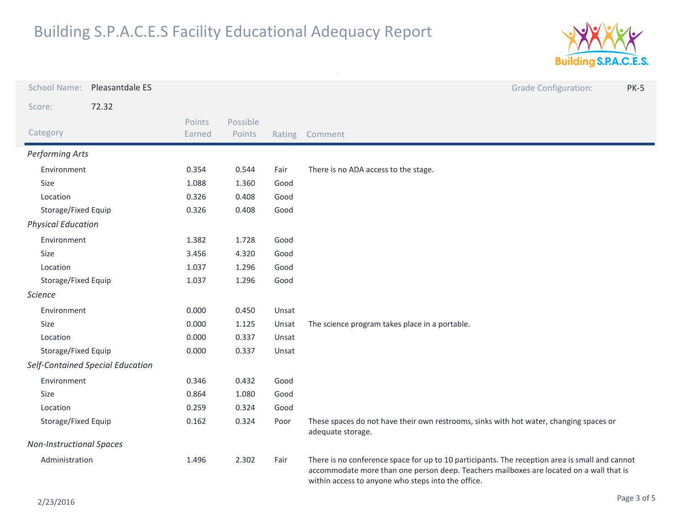

| <b>School Name:</b>             | Pleasantdale ES                  |                         |                    |        | <b>Grade Configuration:</b><br><b>PK-5</b>                                                                                                                                                                                                      |
|---------------------------------|----------------------------------|-------------------------|--------------------|--------|-------------------------------------------------------------------------------------------------------------------------------------------------------------------------------------------------------------------------------------------------|
| Score:                          | 72.32                            |                         |                    |        |                                                                                                                                                                                                                                                 |
| Category                        |                                  | <b>Points</b><br>Earned | Possible<br>Points | Rating | Comment                                                                                                                                                                                                                                         |
| Performing Arts                 |                                  |                         |                    |        |                                                                                                                                                                                                                                                 |
| Environment                     |                                  | 0.354                   | 0.544              | Fair   | There is no ADA access to the stage.                                                                                                                                                                                                            |
| <b>Size</b>                     |                                  | 1.088                   | 1.360              | Good   |                                                                                                                                                                                                                                                 |
| Location                        |                                  | 0.326                   | 0.408              | Good   |                                                                                                                                                                                                                                                 |
| Storage/Fixed Equip             |                                  | 0.326                   | 0.408              | Good   |                                                                                                                                                                                                                                                 |
| <b>Physical Education</b>       |                                  |                         |                    |        |                                                                                                                                                                                                                                                 |
| Environment                     |                                  | 1.382                   | 1.728              | Good   |                                                                                                                                                                                                                                                 |
| Size                            |                                  | 3.456                   | 4.320              | Good   |                                                                                                                                                                                                                                                 |
| Location                        |                                  | 1.037                   | 1.296              | Good   |                                                                                                                                                                                                                                                 |
| Storage/Fixed Equip             |                                  | 1.037                   | 1.296              | Good   |                                                                                                                                                                                                                                                 |
| <b>Science</b>                  |                                  |                         |                    |        |                                                                                                                                                                                                                                                 |
| Environment                     |                                  | 0.000                   | 0.450              | Unsat  |                                                                                                                                                                                                                                                 |
| Size                            |                                  | 0.000                   | 1.125              | Unsat  | The science program takes place in a portable.                                                                                                                                                                                                  |
| Location                        |                                  | 0.000                   | 0.337              | Unsat  |                                                                                                                                                                                                                                                 |
|                                 | Storage/Fixed Equip              |                         | 0.337              | Unsat  |                                                                                                                                                                                                                                                 |
|                                 | Self-Contained Special Education |                         |                    |        |                                                                                                                                                                                                                                                 |
| Environment                     |                                  | 0.346                   | 0.432              | Good   |                                                                                                                                                                                                                                                 |
| Size                            |                                  |                         | 1.080              | Good   |                                                                                                                                                                                                                                                 |
| Location                        |                                  | 0.259                   | 0.324              | Good   |                                                                                                                                                                                                                                                 |
| Storage/Fixed Equip             |                                  | 0.162                   | 0.324              | Poor   | These spaces do not have their own restrooms, sinks with hot water, changing spaces or<br>adequate storage.                                                                                                                                     |
| <b>Non-Instructional Spaces</b> |                                  |                         |                    |        |                                                                                                                                                                                                                                                 |
| Administration                  |                                  | 1.496                   | 2.302              | Fair   | There is no conference space for up to 10 participants. The reception area is small and cannot<br>accommodate more than one person deep. Teachers mailboxes are located on a wall that is<br>within access to anyone who steps into the office. |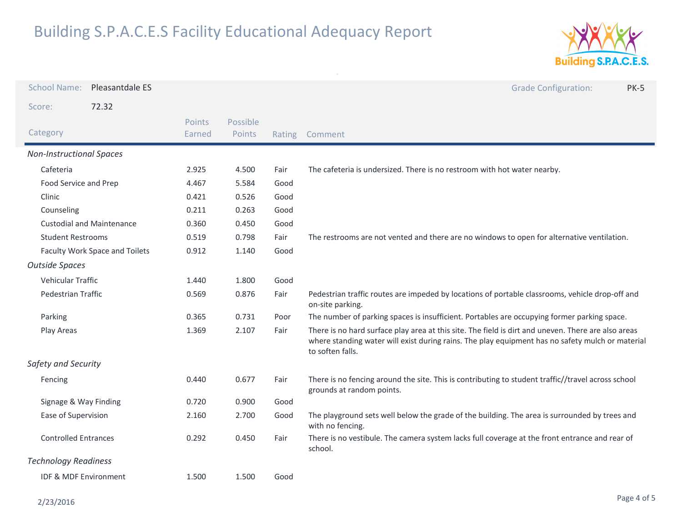

| <b>School Name:</b>             | Pleasantdale ES                  |                  |                    |      | <b>Grade Configuration:</b><br><b>PK-5</b>                                                                                                                                                                                  |  |
|---------------------------------|----------------------------------|------------------|--------------------|------|-----------------------------------------------------------------------------------------------------------------------------------------------------------------------------------------------------------------------------|--|
| Score:                          | 72.32                            |                  |                    |      |                                                                                                                                                                                                                             |  |
| Category                        |                                  | Points<br>Earned | Possible<br>Points |      | Rating Comment                                                                                                                                                                                                              |  |
| <b>Non-Instructional Spaces</b> |                                  |                  |                    |      |                                                                                                                                                                                                                             |  |
| Cafeteria                       |                                  | 2.925            | 4.500              | Fair | The cafeteria is undersized. There is no restroom with hot water nearby.                                                                                                                                                    |  |
| Food Service and Prep           |                                  | 4.467            | 5.584              | Good |                                                                                                                                                                                                                             |  |
| Clinic                          |                                  | 0.421            | 0.526              | Good |                                                                                                                                                                                                                             |  |
| Counseling                      |                                  | 0.211            | 0.263              | Good |                                                                                                                                                                                                                             |  |
|                                 | <b>Custodial and Maintenance</b> | 0.360            | 0.450              | Good |                                                                                                                                                                                                                             |  |
| <b>Student Restrooms</b>        |                                  | 0.519            | 0.798              | Fair | The restrooms are not vented and there are no windows to open for alternative ventilation.                                                                                                                                  |  |
| Faculty Work Space and Toilets  |                                  | 0.912            | 1.140              | Good |                                                                                                                                                                                                                             |  |
| <b>Outside Spaces</b>           |                                  |                  |                    |      |                                                                                                                                                                                                                             |  |
| Vehicular Traffic               |                                  | 1.440            | 1.800              | Good |                                                                                                                                                                                                                             |  |
| <b>Pedestrian Traffic</b>       |                                  | 0.569            | 0.876              | Fair | Pedestrian traffic routes are impeded by locations of portable classrooms, vehicle drop-off and<br>on-site parking.                                                                                                         |  |
| Parking                         |                                  | 0.365            | 0.731              | Poor | The number of parking spaces is insufficient. Portables are occupying former parking space.                                                                                                                                 |  |
| Play Areas                      |                                  | 1.369            | 2.107              | Fair | There is no hard surface play area at this site. The field is dirt and uneven. There are also areas<br>where standing water will exist during rains. The play equipment has no safety mulch or material<br>to soften falls. |  |
| Safety and Security             |                                  |                  |                    |      |                                                                                                                                                                                                                             |  |
| Fencing                         |                                  | 0.440            | 0.677              | Fair | There is no fencing around the site. This is contributing to student traffic//travel across school<br>grounds at random points.                                                                                             |  |
| Signage & Way Finding           |                                  | 0.720            | 0.900              | Good |                                                                                                                                                                                                                             |  |
| Ease of Supervision             |                                  | 2.160            | 2.700              | Good | The playground sets well below the grade of the building. The area is surrounded by trees and<br>with no fencing.                                                                                                           |  |
| <b>Controlled Entrances</b>     |                                  | 0.292            | 0.450              | Fair | There is no vestibule. The camera system lacks full coverage at the front entrance and rear of<br>school.                                                                                                                   |  |
| <b>Technology Readiness</b>     |                                  |                  |                    |      |                                                                                                                                                                                                                             |  |
| IDF & MDF Environment           |                                  | 1.500            | 1.500              | Good |                                                                                                                                                                                                                             |  |